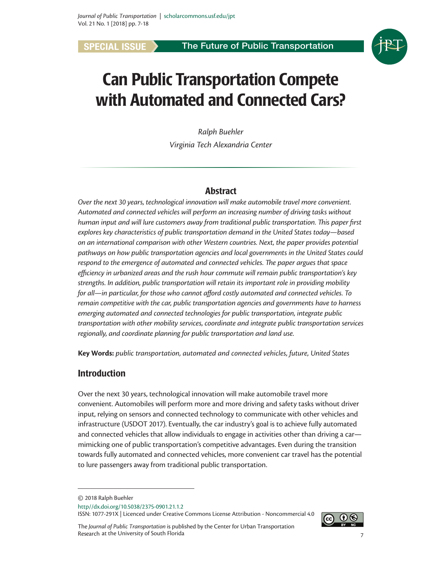**SPECIAL ISSUE** > The Future of Public Transportation



# Can Public Transportation Compete with Automated and Connected Cars?

*Ralph Buehler Virginia Tech Alexandria Center*

## Abstract

*Over the next 30 years, technological innovation will make automobile travel more convenient. Automated and connected vehicles will perform an increasing number of driving tasks without human input and will lure customers away from traditional public transportation. This paper first explores key characteristics of public transportation demand in the United States today—based on an international comparison with other Western countries. Next, the paper provides potential pathways on how public transportation agencies and local governments in the United States could respond to the emergence of automated and connected vehicles. The paper argues that space efficiency in urbanized areas and the rush hour commute will remain public transportation's key strengths. In addition, public transportation will retain its important role in providing mobility for all—in particular, for those who cannot afford costly automated and connected vehicles. To remain competitive with the car, public transportation agencies and governments have to harness emerging automated and connected technologies for public transportation, integrate public transportation with other mobility services, coordinate and integrate public transportation services regionally, and coordinate planning for public transportation and land use.*

**Key Words:** *public transportation, automated and connected vehicles, future, United States*

# Introduction

Over the next 30 years, technological innovation will make automobile travel more convenient. Automobiles will perform more and more driving and safety tasks without driver input, relying on sensors and connected technology to communicate with other vehicles and infrastructure (USDOT 2017). Eventually, the car industry's goal is to achieve fully automated and connected vehicles that allow individuals to engage in activities other than driving a car mimicking one of public transportation's competitive advantages. Even during the transition towards fully automated and connected vehicles, more convenient car travel has the potential to lure passengers away from traditional public transportation.

ISSN: 1077-291X | Licenced under Creative Commons License Attribution - Noncommercial 4.0

 $0$   $\odot$ 

<sup>©</sup> 2018 Ralph Buehler

http//dx.doi.org/10.5038/2375-0901.21.1.2

*Journal of Public Transportation, Vol. 21, No. 1, 2018* 7 The *Journal of Public Transportation* is published by the Center for Urban Transportation Research at the University of South Florida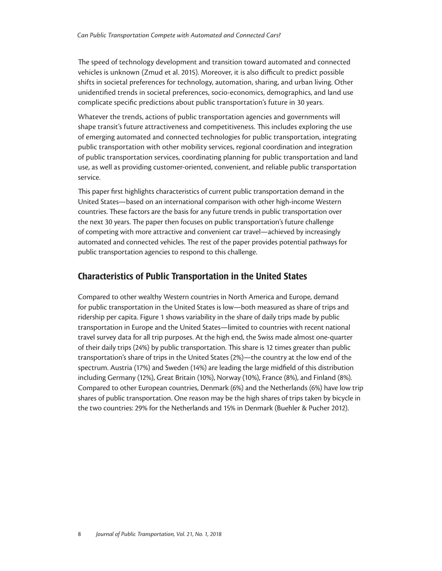The speed of technology development and transition toward automated and connected vehicles is unknown (Zmud et al. 2015). Moreover, it is also difficult to predict possible shifts in societal preferences for technology, automation, sharing, and urban living. Other unidentified trends in societal preferences, socio-economics, demographics, and land use complicate specific predictions about public transportation's future in 30 years.

Whatever the trends, actions of public transportation agencies and governments will shape transit's future attractiveness and competitiveness. This includes exploring the use of emerging automated and connected technologies for public transportation, integrating public transportation with other mobility services, regional coordination and integration of public transportation services, coordinating planning for public transportation and land use, as well as providing customer-oriented, convenient, and reliable public transportation service.

This paper first highlights characteristics of current public transportation demand in the United States—based on an international comparison with other high-income Western countries. These factors are the basis for any future trends in public transportation over the next 30 years. The paper then focuses on public transportation's future challenge of competing with more attractive and convenient car travel—achieved by increasingly automated and connected vehicles. The rest of the paper provides potential pathways for public transportation agencies to respond to this challenge.

# Characteristics of Public Transportation in the United States

Compared to other wealthy Western countries in North America and Europe, demand for public transportation in the United States is low—both measured as share of trips and ridership per capita. Figure 1 shows variability in the share of daily trips made by public transportation in Europe and the United States—limited to countries with recent national travel survey data for all trip purposes. At the high end, the Swiss made almost one-quarter of their daily trips (24%) by public transportation. This share is 12 times greater than public transportation's share of trips in the United States (2%)—the country at the low end of the spectrum. Austria (17%) and Sweden (14%) are leading the large midfield of this distribution including Germany (12%), Great Britain (10%), Norway (10%), France (8%), and Finland (8%). Compared to other European countries, Denmark (6%) and the Netherlands (6%) have low trip shares of public transportation. One reason may be the high shares of trips taken by bicycle in the two countries: 29% for the Netherlands and 15% in Denmark (Buehler & Pucher 2012).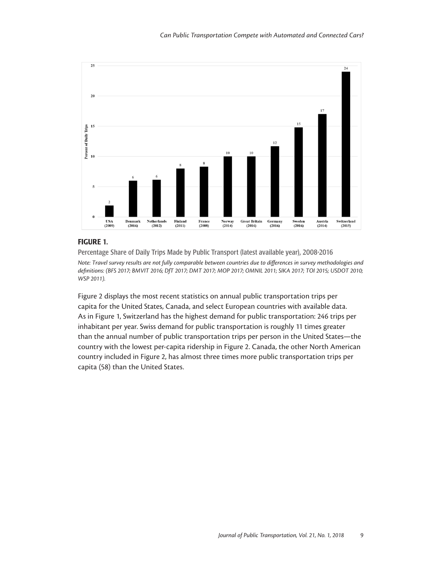

## FIGURE 1.

Percentage Share of Daily Trips Made by Public Transport (latest available year), 2008-2016 *Note: Travel survey results are not fully comparable between countries due to differences in survey methodologies and definitions: (BFS 2017; BMVIT 2016; DfT 2017; DMT 2017; MOP 2017; OMNIL 2011; SIKA 2017; TOI 2015; USDOT 2010; WSP 2011).*

Figure 2 displays the most recent statistics on annual public transportation trips per capita for the United States, Canada, and select European countries with available data. As in Figure 1, Switzerland has the highest demand for public transportation: 246 trips per inhabitant per year. Swiss demand for public transportation is roughly 11 times greater than the annual number of public transportation trips per person in the United States—the country with the lowest per-capita ridership in Figure 2. Canada, the other North American country included in Figure 2, has almost three times more public transportation trips per capita (58) than the United States.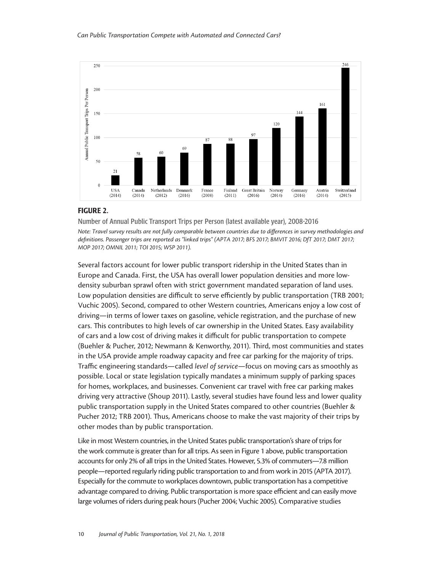

#### FIGURE 2.

Number of Annual Public Transport Trips per Person (latest available year), 2008-2016 *Note: Travel survey results are not fully comparable between countries due to differences in survey methodologies and definitions. Passenger trips are reported as "linked trips" (APTA 2017; BFS 2017; BMVIT 2016; DfT 2017; DMT 2017; MOP 2017; OMNIL 2011; TOI 2015; WSP 2011).*

Several factors account for lower public transport ridership in the United States than in Europe and Canada. First, the USA has overall lower population densities and more lowdensity suburban sprawl often with strict government mandated separation of land uses. Low population densities are difficult to serve efficiently by public transportation (TRB 2001; Vuchic 2005). Second, compared to other Western countries, Americans enjoy a low cost of driving—in terms of lower taxes on gasoline, vehicle registration, and the purchase of new cars. This contributes to high levels of car ownership in the United States. Easy availability of cars and a low cost of driving makes it difficult for public transportation to compete (Buehler & Pucher, 2012; Newmann & Kenworthy, 2011). Third, most communities and states in the USA provide ample roadway capacity and free car parking for the majority of trips. Traffic engineering standards—called *level of service*—focus on moving cars as smoothly as possible. Local or state legislation typically mandates a minimum supply of parking spaces for homes, workplaces, and businesses. Convenient car travel with free car parking makes driving very attractive (Shoup 2011). Lastly, several studies have found less and lower quality public transportation supply in the United States compared to other countries (Buehler & Pucher 2012; TRB 2001). Thus, Americans choose to make the vast majority of their trips by other modes than by public transportation.

Like in most Western countries, in the United States public transportation's share of trips for the work commute is greater than for all trips. As seen in Figure 1 above, public transportation accounts for only 2% of all trips in the United States. However, 5.3% of commuters—7.8 million people—reported regularly riding public transportation to and from work in 2015 (APTA 2017). Especially for the commute to workplaces downtown, public transportation has a competitive advantage compared to driving. Public transportation is more space efficient and can easily move large volumes of riders during peak hours (Pucher 2004; Vuchic 2005). Comparative studies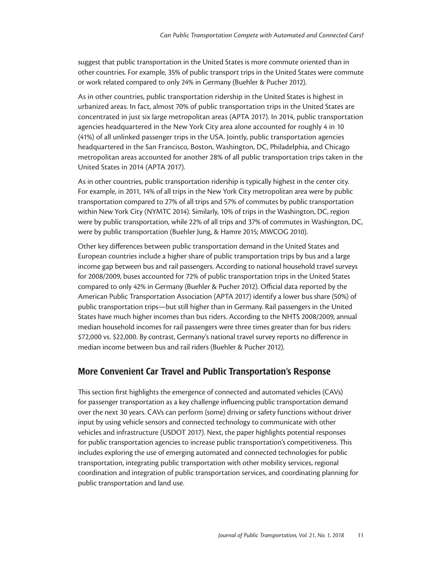suggest that public transportation in the United States is more commute oriented than in other countries. For example, 35% of public transport trips in the United States were commute or work related compared to only 24% in Germany (Buehler & Pucher 2012).

As in other countries, public transportation ridership in the United States is highest in urbanized areas. In fact, almost 70% of public transportation trips in the United States are concentrated in just six large metropolitan areas (APTA 2017). In 2014, public transportation agencies headquartered in the New York City area alone accounted for roughly 4 in 10 (41%) of all unlinked passenger trips in the USA. Jointly, public transportation agencies headquartered in the San Francisco, Boston, Washington, DC, Philadelphia, and Chicago metropolitan areas accounted for another 28% of all public transportation trips taken in the United States in 2014 (APTA 2017).

As in other countries, public transportation ridership is typically highest in the center city. For example, in 2011, 14% of all trips in the New York City metropolitan area were by public transportation compared to 27% of all trips and 57% of commutes by public transportation within New York City (NYMTC 2014). Similarly, 10% of trips in the Washington, DC, region were by public transportation, while 22% of all trips and 37% of commutes in Washington, DC, were by public transportation (Buehler Jung, & Hamre 2015; MWCOG 2010).

Other key differences between public transportation demand in the United States and European countries include a higher share of public transportation trips by bus and a large income gap between bus and rail passengers. According to national household travel surveys for 2008/2009, buses accounted for 72% of public transportation trips in the United States compared to only 42% in Germany (Buehler & Pucher 2012). Official data reported by the American Public Transportation Association (APTA 2017) identify a lower bus share (50%) of public transportation trips—but still higher than in Germany. Rail passengers in the United States have much higher incomes than bus riders. According to the NHTS 2008/2009, annual median household incomes for rail passengers were three times greater than for bus riders: \$72,000 vs. \$22,000. By contrast, Germany's national travel survey reports no difference in median income between bus and rail riders (Buehler & Pucher 2012).

## More Convenient Car Travel and Public Transportation's Response

This section first highlights the emergence of connected and automated vehicles (CAVs) for passenger transportation as a key challenge influencing public transportation demand over the next 30 years. CAVs can perform (some) driving or safety functions without driver input by using vehicle sensors and connected technology to communicate with other vehicles and infrastructure (USDOT 2017). Next, the paper highlights potential responses for public transportation agencies to increase public transportation's competitiveness. This includes exploring the use of emerging automated and connected technologies for public transportation, integrating public transportation with other mobility services, regional coordination and integration of public transportation services, and coordinating planning for public transportation and land use.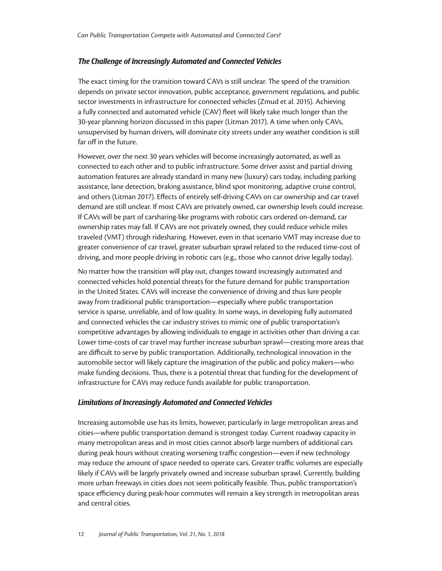## *The Challenge of Increasingly Automated and Connected Vehicles*

The exact timing for the transition toward CAVs is still unclear. The speed of the transition depends on private sector innovation, public acceptance, government regulations, and public sector investments in infrastructure for connected vehicles (Zmud et al. 2015). Achieving a fully connected and automated vehicle (CAV) fleet will likely take much longer than the 30-year planning horizon discussed in this paper (Litman 2017). A time when only CAVs, unsupervised by human drivers, will dominate city streets under any weather condition is still far off in the future.

However, over the next 30 years vehicles will become increasingly automated, as well as connected to each other and to public infrastructure. Some driver assist and partial driving automation features are already standard in many new (luxury) cars today, including parking assistance, lane detection, braking assistance, blind spot monitoring, adaptive cruise control, and others (Litman 2017). Effects of entirely self-driving CAVs on car ownership and car travel demand are still unclear. If most CAVs are privately owned, car ownership levels could increase. If CAVs will be part of carsharing-like programs with robotic cars ordered on-demand, car ownership rates may fall. If CAVs are not privately owned, they could reduce vehicle miles traveled (VMT) through ridesharing. However, even in that scenario VMT may increase due to greater convenience of car travel, greater suburban sprawl related to the reduced time-cost of driving, and more people driving in robotic cars (e.g., those who cannot drive legally today).

No matter how the transition will play out, changes toward increasingly automated and connected vehicles hold potential threats for the future demand for public transportation in the United States. CAVs will increase the convenience of driving and thus lure people away from traditional public transportation—especially where public transportation service is sparse, unreliable, and of low quality. In some ways, in developing fully automated and connected vehicles the car industry strives to mimic one of public transportation's competitive advantages by allowing individuals to engage in activities other than driving a car. Lower time-costs of car travel may further increase suburban sprawl—creating more areas that are difficult to serve by public transportation. Additionally, technological innovation in the automobile sector will likely capture the imagination of the public and policy makers—who make funding decisions. Thus, there is a potential threat that funding for the development of infrastructure for CAVs may reduce funds available for public transportation.

#### *Limitations of Increasingly Automated and Connected Vehicles*

Increasing automobile use has its limits, however, particularly in large metropolitan areas and cities—where public transportation demand is strongest today. Current roadway capacity in many metropolitan areas and in most cities cannot absorb large numbers of additional cars during peak hours without creating worsening traffic congestion—even if new technology may reduce the amount of space needed to operate cars. Greater traffic volumes are especially likely if CAVs will be largely privately owned and increase suburban sprawl. Currently, building more urban freeways in cities does not seem politically feasible. Thus, public transportation's space efficiency during peak-hour commutes will remain a key strength in metropolitan areas and central cities.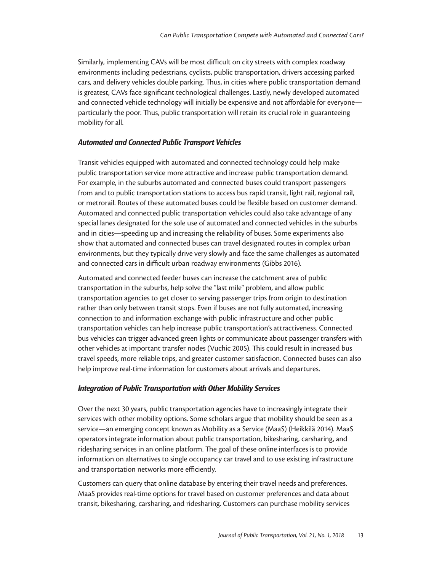Similarly, implementing CAVs will be most difficult on city streets with complex roadway environments including pedestrians, cyclists, public transportation, drivers accessing parked cars, and delivery vehicles double parking. Thus, in cities where public transportation demand is greatest, CAVs face significant technological challenges. Lastly, newly developed automated and connected vehicle technology will initially be expensive and not affordable for everyone particularly the poor. Thus, public transportation will retain its crucial role in guaranteeing mobility for all.

#### *Automated and Connected Public Transport Vehicles*

Transit vehicles equipped with automated and connected technology could help make public transportation service more attractive and increase public transportation demand. For example, in the suburbs automated and connected buses could transport passengers from and to public transportation stations to access bus rapid transit, light rail, regional rail, or metrorail. Routes of these automated buses could be flexible based on customer demand. Automated and connected public transportation vehicles could also take advantage of any special lanes designated for the sole use of automated and connected vehicles in the suburbs and in cities—speeding up and increasing the reliability of buses. Some experiments also show that automated and connected buses can travel designated routes in complex urban environments, but they typically drive very slowly and face the same challenges as automated and connected cars in difficult urban roadway environments (Gibbs 2016).

Automated and connected feeder buses can increase the catchment area of public transportation in the suburbs, help solve the "last mile" problem, and allow public transportation agencies to get closer to serving passenger trips from origin to destination rather than only between transit stops. Even if buses are not fully automated, increasing connection to and information exchange with public infrastructure and other public transportation vehicles can help increase public transportation's attractiveness. Connected bus vehicles can trigger advanced green lights or communicate about passenger transfers with other vehicles at important transfer nodes (Vuchic 2005). This could result in increased bus travel speeds, more reliable trips, and greater customer satisfaction. Connected buses can also help improve real-time information for customers about arrivals and departures.

#### *Integration of Public Transportation with Other Mobility Services*

Over the next 30 years, public transportation agencies have to increasingly integrate their services with other mobility options. Some scholars argue that mobility should be seen as a service—an emerging concept known as Mobility as a Service (MaaS) (Heikkilä 2014). MaaS operators integrate information about public transportation, bikesharing, carsharing, and ridesharing services in an online platform. The goal of these online interfaces is to provide information on alternatives to single occupancy car travel and to use existing infrastructure and transportation networks more efficiently.

Customers can query that online database by entering their travel needs and preferences. MaaS provides real-time options for travel based on customer preferences and data about transit, bikesharing, carsharing, and ridesharing. Customers can purchase mobility services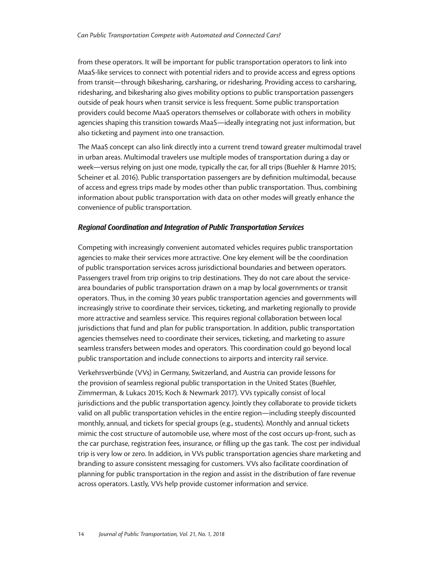from these operators. It will be important for public transportation operators to link into MaaS-like services to connect with potential riders and to provide access and egress options from transit—through bikesharing, carsharing, or ridesharing. Providing access to carsharing, ridesharing, and bikesharing also gives mobility options to public transportation passengers outside of peak hours when transit service is less frequent. Some public transportation providers could become MaaS operators themselves or collaborate with others in mobility agencies shaping this transition towards MaaS—ideally integrating not just information, but also ticketing and payment into one transaction.

The MaaS concept can also link directly into a current trend toward greater multimodal travel in urban areas. Multimodal travelers use multiple modes of transportation during a day or week—versus relying on just one mode, typically the car, for all trips (Buehler & Hamre 2015; Scheiner et al. 2016). Public transportation passengers are by definition multimodal, because of access and egress trips made by modes other than public transportation. Thus, combining information about public transportation with data on other modes will greatly enhance the convenience of public transportation.

#### *Regional Coordination and Integration of Public Transportation Services*

Competing with increasingly convenient automated vehicles requires public transportation agencies to make their services more attractive. One key element will be the coordination of public transportation services across jurisdictional boundaries and between operators. Passengers travel from trip origins to trip destinations. They do not care about the servicearea boundaries of public transportation drawn on a map by local governments or transit operators. Thus, in the coming 30 years public transportation agencies and governments will increasingly strive to coordinate their services, ticketing, and marketing regionally to provide more attractive and seamless service. This requires regional collaboration between local jurisdictions that fund and plan for public transportation. In addition, public transportation agencies themselves need to coordinate their services, ticketing, and marketing to assure seamless transfers between modes and operators. This coordination could go beyond local public transportation and include connections to airports and intercity rail service.

Verkehrsverbünde (VVs) in Germany, Switzerland, and Austria can provide lessons for the provision of seamless regional public transportation in the United States (Buehler, Zimmerman, & Lukacs 2015; Koch & Newmark 2017). VVs typically consist of local jurisdictions and the public transportation agency. Jointly they collaborate to provide tickets valid on all public transportation vehicles in the entire region—including steeply discounted monthly, annual, and tickets for special groups (e.g., students). Monthly and annual tickets mimic the cost structure of automobile use, where most of the cost occurs up-front, such as the car purchase, registration fees, insurance, or filling up the gas tank. The cost per individual trip is very low or zero. In addition, in VVs public transportation agencies share marketing and branding to assure consistent messaging for customers. VVs also facilitate coordination of planning for public transportation in the region and assist in the distribution of fare revenue across operators. Lastly, VVs help provide customer information and service.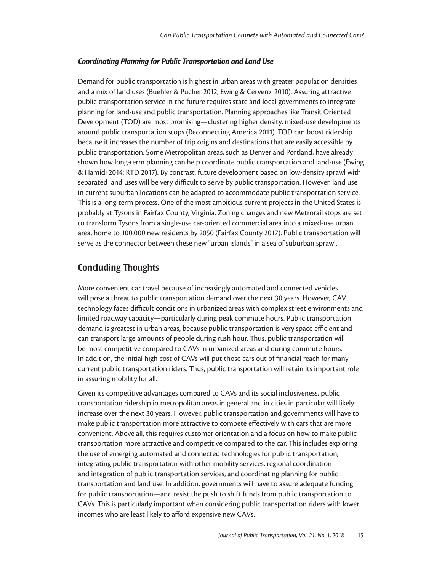#### *Coordinating Planning for Public Transportation and Land Use*

Demand for public transportation is highest in urban areas with greater population densities and a mix of land uses (Buehler & Pucher 2012; Ewing & Cervero 2010). Assuring attractive public transportation service in the future requires state and local governments to integrate planning for land-use and public transportation. Planning approaches like Transit Oriented Development (TOD) are most promising—clustering higher density, mixed-use developments around public transportation stops (Reconnecting America 2011). TOD can boost ridership because it increases the number of trip origins and destinations that are easily accessible by public transportation. Some Metropolitan areas, such as Denver and Portland, have already shown how long-term planning can help coordinate public transportation and land-use (Ewing & Hamidi 2014; RTD 2017). By contrast, future development based on low-density sprawl with separated land uses will be very difficult to serve by public transportation. However, land use in current suburban locations can be adapted to accommodate public transportation service. This is a long-term process. One of the most ambitious current projects in the United States is probably at Tysons in Fairfax County, Virginia. Zoning changes and new Metrorail stops are set to transform Tysons from a single-use car-oriented commercial area into a mixed-use urban area, home to 100,000 new residents by 2050 (Fairfax County 2017). Public transportation will serve as the connector between these new "urban islands" in a sea of suburban sprawl.

# Concluding Thoughts

More convenient car travel because of increasingly automated and connected vehicles will pose a threat to public transportation demand over the next 30 years. However, CAV technology faces difficult conditions in urbanized areas with complex street environments and limited roadway capacity—particularly during peak commute hours. Public transportation demand is greatest in urban areas, because public transportation is very space efficient and can transport large amounts of people during rush hour. Thus, public transportation will be most competitive compared to CAVs in urbanized areas and during commute hours. In addition, the initial high cost of CAVs will put those cars out of financial reach for many current public transportation riders. Thus, public transportation will retain its important role in assuring mobility for all.

Given its competitive advantages compared to CAVs and its social inclusiveness, public transportation ridership in metropolitan areas in general and in cities in particular will likely increase over the next 30 years. However, public transportation and governments will have to make public transportation more attractive to compete effectively with cars that are more convenient. Above all, this requires customer orientation and a focus on how to make public transportation more attractive and competitive compared to the car. This includes exploring the use of emerging automated and connected technologies for public transportation, integrating public transportation with other mobility services, regional coordination and integration of public transportation services, and coordinating planning for public transportation and land use. In addition, governments will have to assure adequate funding for public transportation—and resist the push to shift funds from public transportation to CAVs. This is particularly important when considering public transportation riders with lower incomes who are least likely to afford expensive new CAVs.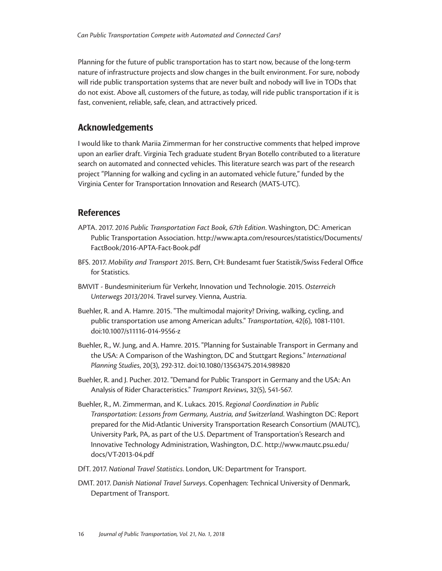Planning for the future of public transportation has to start now, because of the long-term nature of infrastructure projects and slow changes in the built environment. For sure, nobody will ride public transportation systems that are never built and nobody will live in TODs that do not exist. Above all, customers of the future, as today, will ride public transportation if it is fast, convenient, reliable, safe, clean, and attractively priced.

# Acknowledgements

I would like to thank Mariia Zimmerman for her constructive comments that helped improve upon an earlier draft. Virginia Tech graduate student Bryan Botello contributed to a literature search on automated and connected vehicles. This literature search was part of the research project "Planning for walking and cycling in an automated vehicle future," funded by the Virginia Center for Transportation Innovation and Research (MATS-UTC).

# References

- APTA. 2017. *2016 Public Transportation Fact Book, 67th Edition*. Washington, DC: American Public Transportation Association. http://www.apta.com/resources/statistics/Documents/ FactBook/2016-APTA-Fact-Book.pdf
- BFS. 2017. *Mobility and Transport 2015*. Bern, CH: Bundesamt fuer Statistik/Swiss Federal Office for Statistics.
- BMVIT Bundesminiterium für Verkehr, Innovation und Technologie. 2015. *Osterreich Unterwegs 2013/2014*. Travel survey. Vienna, Austria.
- Buehler, R. and A. Hamre. 2015. "The multimodal majority? Driving, walking, cycling, and public transportation use among American adults." *Transportation*, 42(6), 1081-1101. doi:10.1007/s11116-014-9556-z
- Buehler, R., W. Jung, and A. Hamre. 2015. "Planning for Sustainable Transport in Germany and the USA: A Comparison of the Washington, DC and Stuttgart Regions." *International Planning Studies*, 20(3), 292-312. doi:10.1080/13563475.2014.989820
- Buehler, R. and J. Pucher. 2012. "Demand for Public Transport in Germany and the USA: An Analysis of Rider Characteristics." *Transport Reviews*, 32(5), 541-567.
- Buehler, R., M. Zimmerman, and K. Lukacs. 2015. *Regional Coordination in Public Transportation: Lessons from Germany, Austria, and Switzerland*. Washington DC: Report prepared for the Mid-Atlantic University Transportation Research Consortium (MAUTC), University Park, PA, as part of the U.S. Department of Transportation's Research and Innovative Technology Administration, Washington, D.C. http://www.mautc.psu.edu/ docs/VT-2013-04.pdf
- DfT. 2017. *National Travel Statistics*. London, UK: Department for Transport.
- DMT. 2017. *Danish National Travel Surveys*. Copenhagen: Technical University of Denmark, Department of Transport.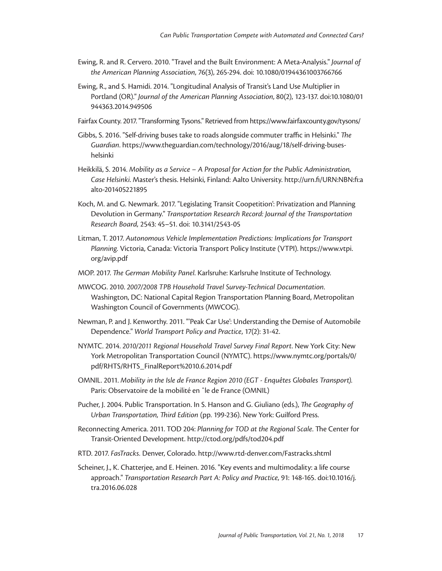- Ewing, R. and R. Cervero. 2010. "Travel and the Built Environment: A Meta-Analysis." *Journal of the American Planning Association*, 76(3), 265-294. doi: 10.1080/01944361003766766
- Ewing, R., and S. Hamidi. 2014. "Longitudinal Analysis of Transit's Land Use Multiplier in Portland (OR)." *Journal of the American Planning Association*, 80(2), 123-137. doi:10.1080/01 944363.2014.949506
- Fairfax County. 2017. "Transforming Tysons." Retrieved from https://www.fairfaxcounty.gov/tysons/
- Gibbs, S. 2016. "Self-driving buses take to roads alongside commuter traffic in Helsinki." *The Guardian*. https://www.theguardian.com/technology/2016/aug/18/self-driving-buseshelsinki
- Heikkilä, S. 2014. *Mobility as a Service A Proposal for Action for the Public Administration, Case Helsinki*. Master's thesis. Helsinki, Finland: Aalto University. http://urn.fi/URN:NBN:fi:a alto-201405221895
- Koch, M. and G. Newmark. 2017. "Legislating Transit Coopetition': Privatization and Planning Devolution in Germany." *Transportation Research Record: Journal of the Transportation Research Board,* 2543: 45–51. doi: 10.3141/2543-05
- Litman, T. 2017. *Autonomous Vehicle Implementation Predictions: Implications for Transport Planning.* Victoria, Canada: Victoria Transport Policy Institute (VTPI). https://www.vtpi. org/avip.pdf
- MOP. 2017. *The German Mobility Panel*. Karlsruhe: Karlsruhe Institute of Technology.
- MWCOG. 2010. *2007/2008 TPB Household Travel Survey-Technical Documentation*. Washington, DC: National Capital Region Transportation Planning Board, Metropolitan Washington Council of Governments (MWCOG).
- Newman, P. and J. Kenworthy. 2011. "'Peak Car Use': Understanding the Demise of Automobile Dependence." *World Transport Policy and Practice*, 17(2): 31-42.
- NYMTC. 2014. *2010/2011 Regional Household Travel Survey Final Report*. New York City: New York Metropolitan Transportation Council (NYMTC). https://www.nymtc.org/portals/0/ pdf/RHTS/RHTS\_FinalReport%2010.6.2014.pdf
- OMNIL. 2011. *Mobility in the Isle de France Region 2010 (EGT Enquêtes Globales Transport).* Paris: Observatoire de la mobilité en ˆle de France (OMNIL)
- Pucher, J. 2004. Public Transportation. In S. Hanson and G. Giuliano (eds.), *The Geography of Urban Transportation, Third Edition* (pp. 199-236). New York: Guilford Press.
- Reconnecting America. 2011. TOD 204: *Planning for TOD at the Regional Scale*. The Center for Transit-Oriented Development. http://ctod.org/pdfs/tod204.pdf
- RTD. 2017. *FasTracks.* Denver, Colorado. http://www.rtd-denver.com/Fastracks.shtml
- Scheiner, J., K. Chatterjee, and E. Heinen. 2016. "Key events and multimodality: a life course approach." *Transportation Research Part A: Policy and Practice,* 91: 148-165. doi:10.1016/j. tra.2016.06.028